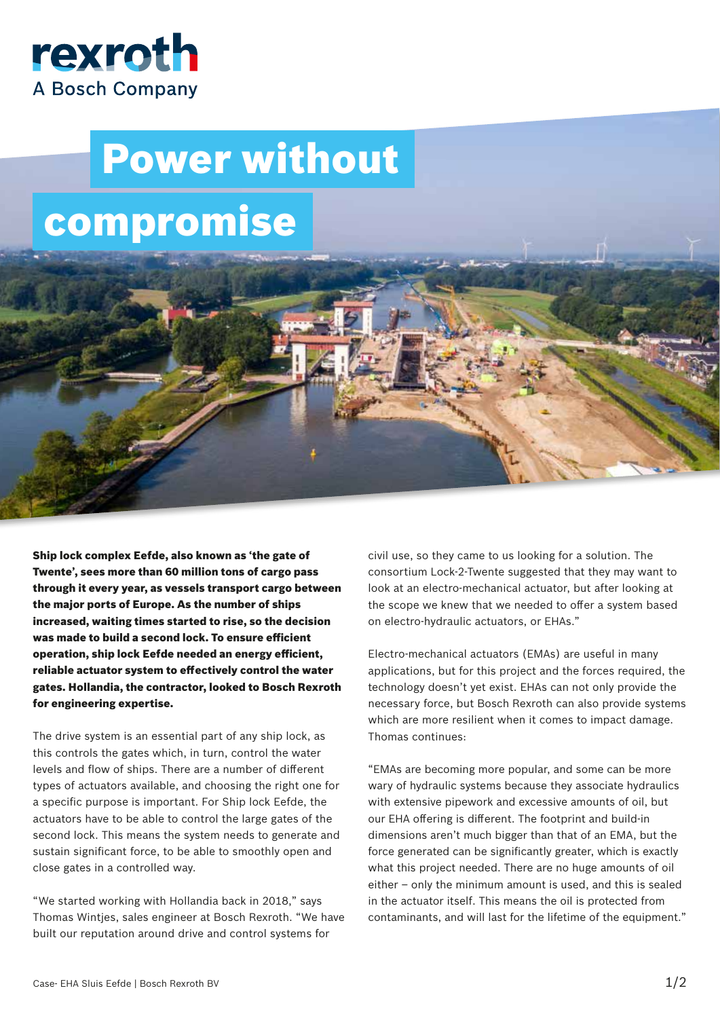

## Power without compromise

Ship lock complex Eefde, also known as 'the gate of Twente', sees more than 60 million tons of cargo pass through it every year, as vessels transport cargo between the major ports of Europe. As the number of ships increased, waiting times started to rise, so the decision was made to build a second lock. To ensure efficient operation, ship lock Eefde needed an energy efficient, reliable actuator system to effectively control the water gates. Hollandia, the contractor, looked to Bosch Rexroth for engineering expertise.

The drive system is an essential part of any ship lock, as this controls the gates which, in turn, control the water levels and flow of ships. There are a number of different types of actuators available, and choosing the right one for a specific purpose is important. For Ship lock Eefde, the actuators have to be able to control the large gates of the second lock. This means the system needs to generate and sustain significant force, to be able to smoothly open and close gates in a controlled way.

"We started working with Hollandia back in 2018," says Thomas Wintjes, sales engineer at Bosch Rexroth. "We have built our reputation around drive and control systems for

civil use, so they came to us looking for a solution. The consortium Lock-2-Twente suggested that they may want to look at an electro-mechanical actuator, but after looking at the scope we knew that we needed to offer a system based on electro-hydraulic actuators, or EHAs."

Electro-mechanical actuators (EMAs) are useful in many applications, but for this project and the forces required, the technology doesn't yet exist. EHAs can not only provide the necessary force, but Bosch Rexroth can also provide systems which are more resilient when it comes to impact damage. Thomas continues:

"EMAs are becoming more popular, and some can be more wary of hydraulic systems because they associate hydraulics with extensive pipework and excessive amounts of oil, but our EHA offering is different. The footprint and build-in dimensions aren't much bigger than that of an EMA, but the force generated can be significantly greater, which is exactly what this project needed. There are no huge amounts of oil either – only the minimum amount is used, and this is sealed in the actuator itself. This means the oil is protected from contaminants, and will last for the lifetime of the equipment."